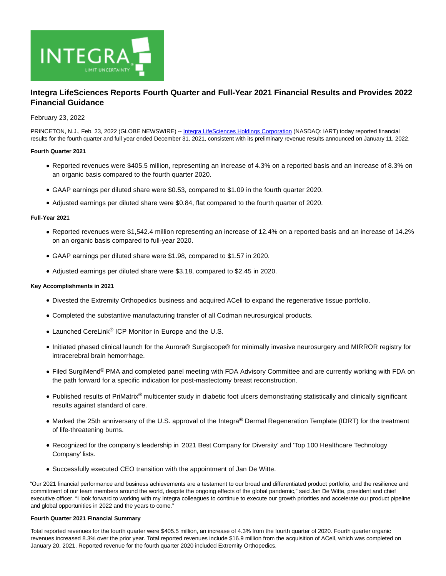

# **Integra LifeSciences Reports Fourth Quarter and Full-Year 2021 Financial Results and Provides 2022 Financial Guidance**

## February 23, 2022

PRINCETON, N.J., Feb. 23, 2022 (GLOBE NEWSWIRE) -- [Integra LifeSciences Holdings Corporation \(](https://www.globenewswire.com/Tracker?data=DIq32va1EJX1thRRPJq7dTnfjuLCz0BlCcQ9xayAzDDWWCh5OJ5IWW0rB_pmDxzYOAZreQ3WbTVwSseT4uVxJZdIeMj0U6T4Yzny5z_j1J13IbtwxKj1DSwUwftXAC64)NASDAQ: IART) today reported financial results for the fourth quarter and full year ended December 31, 2021, consistent with its preliminary revenue results announced on January 11, 2022.

## **Fourth Quarter 2021**

- Reported revenues were \$405.5 million, representing an increase of 4.3% on a reported basis and an increase of 8.3% on an organic basis compared to the fourth quarter 2020.
- GAAP earnings per diluted share were \$0.53, compared to \$1.09 in the fourth quarter 2020.
- Adjusted earnings per diluted share were \$0.84, flat compared to the fourth quarter of 2020.

## **Full-Year 2021**

- Reported revenues were \$1,542.4 million representing an increase of 12.4% on a reported basis and an increase of 14.2% on an organic basis compared to full-year 2020.
- GAAP earnings per diluted share were \$1.98, compared to \$1.57 in 2020.
- Adjusted earnings per diluted share were \$3.18, compared to \$2.45 in 2020.

## **Key Accomplishments in 2021**

- Divested the Extremity Orthopedics business and acquired ACell to expand the regenerative tissue portfolio.
- Completed the substantive manufacturing transfer of all Codman neurosurgical products.
- Launched CereLink<sup>®</sup> ICP Monitor in Europe and the U.S.
- Initiated phased clinical launch for the Aurora® Surgiscope® for minimally invasive neurosurgery and MIRROR registry for intracerebral brain hemorrhage.
- Filed SurgiMend<sup>®</sup> PMA and completed panel meeting with FDA Advisory Committee and are currently working with FDA on the path forward for a specific indication for post-mastectomy breast reconstruction.
- Published results of PriMatrix<sup>®</sup> multicenter study in diabetic foot ulcers demonstrating statistically and clinically significant results against standard of care.
- Marked the 25th anniversary of the U.S. approval of the Integra® Dermal Regeneration Template (IDRT) for the treatment of life-threatening burns.
- Recognized for the company's leadership in '2021 Best Company for Diversity' and 'Top 100 Healthcare Technology Company' lists.
- Successfully executed CEO transition with the appointment of Jan De Witte.

"Our 2021 financial performance and business achievements are a testament to our broad and differentiated product portfolio, and the resilience and commitment of our team members around the world, despite the ongoing effects of the global pandemic," said Jan De Witte, president and chief executive officer. "I look forward to working with my Integra colleagues to continue to execute our growth priorities and accelerate our product pipeline and global opportunities in 2022 and the years to come."

## **Fourth Quarter 2021 Financial Summary**

Total reported revenues for the fourth quarter were \$405.5 million, an increase of 4.3% from the fourth quarter of 2020. Fourth quarter organic revenues increased 8.3% over the prior year. Total reported revenues include \$16.9 million from the acquisition of ACell, which was completed on January 20, 2021. Reported revenue for the fourth quarter 2020 included Extremity Orthopedics.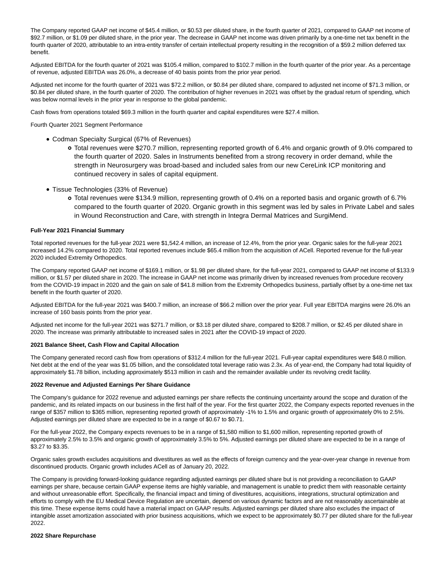The Company reported GAAP net income of \$45.4 million, or \$0.53 per diluted share, in the fourth quarter of 2021, compared to GAAP net income of \$92.7 million, or \$1.09 per diluted share, in the prior year. The decrease in GAAP net income was driven primarily by a one-time net tax benefit in the fourth quarter of 2020, attributable to an intra-entity transfer of certain intellectual property resulting in the recognition of a \$59.2 million deferred tax benefit.

Adjusted EBITDA for the fourth quarter of 2021 was \$105.4 million, compared to \$102.7 million in the fourth quarter of the prior year. As a percentage of revenue, adjusted EBITDA was 26.0%, a decrease of 40 basis points from the prior year period.

Adjusted net income for the fourth quarter of 2021 was \$72.2 million, or \$0.84 per diluted share, compared to adjusted net income of \$71.3 million, or \$0.84 per diluted share, in the fourth quarter of 2020. The contribution of higher revenues in 2021 was offset by the gradual return of spending, which was below normal levels in the prior year in response to the global pandemic.

Cash flows from operations totaled \$69.3 million in the fourth quarter and capital expenditures were \$27.4 million.

Fourth Quarter 2021 Segment Performance

- Codman Specialty Surgical (67% of Revenues)
	- Total revenues were \$270.7 million, representing reported growth of 6.4% and organic growth of 9.0% compared to the fourth quarter of 2020. Sales in Instruments benefited from a strong recovery in order demand, while the strength in Neurosurgery was broad-based and included sales from our new CereLink ICP monitoring and continued recovery in sales of capital equipment.
- Tissue Technologies (33% of Revenue)
	- Total revenues were \$134.9 million, representing growth of 0.4% on a reported basis and organic growth of 6.7% compared to the fourth quarter of 2020. Organic growth in this segment was led by sales in Private Label and sales in Wound Reconstruction and Care, with strength in Integra Dermal Matrices and SurgiMend.

### **Full-Year 2021 Financial Summary**

Total reported revenues for the full-year 2021 were \$1,542.4 million, an increase of 12.4%, from the prior year. Organic sales for the full-year 2021 increased 14.2% compared to 2020. Total reported revenues include \$65.4 million from the acquisition of ACell. Reported revenue for the full-year 2020 included Extremity Orthopedics.

The Company reported GAAP net income of \$169.1 million, or \$1.98 per diluted share, for the full-year 2021, compared to GAAP net income of \$133.9 million, or \$1.57 per diluted share in 2020. The increase in GAAP net income was primarily driven by increased revenues from procedure recovery from the COVID-19 impact in 2020 and the gain on sale of \$41.8 million from the Extremity Orthopedics business, partially offset by a one-time net tax benefit in the fourth quarter of 2020.

Adjusted EBITDA for the full-year 2021 was \$400.7 million, an increase of \$66.2 million over the prior year. Full year EBITDA margins were 26.0% an increase of 160 basis points from the prior year.

Adjusted net income for the full-year 2021 was \$271.7 million, or \$3.18 per diluted share, compared to \$208.7 million, or \$2.45 per diluted share in 2020. The increase was primarily attributable to increased sales in 2021 after the COVID-19 impact of 2020.

#### **2021 Balance Sheet, Cash Flow and Capital Allocation**

The Company generated record cash flow from operations of \$312.4 million for the full-year 2021. Full-year capital expenditures were \$48.0 million. Net debt at the end of the year was \$1.05 billion, and the consolidated total leverage ratio was 2.3x. As of year-end, the Company had total liquidity of approximately \$1.78 billion, including approximately \$513 million in cash and the remainder available under its revolving credit facility.

#### **2022 Revenue and Adjusted Earnings Per Share Guidance**

The Company's guidance for 2022 revenue and adjusted earnings per share reflects the continuing uncertainty around the scope and duration of the pandemic, and its related impacts on our business in the first half of the year. For the first quarter 2022, the Company expects reported revenues in the range of \$357 million to \$365 million, representing reported growth of approximately -1% to 1.5% and organic growth of approximately 0% to 2.5%. Adjusted earnings per diluted share are expected to be in a range of \$0.67 to \$0.71.

For the full-year 2022, the Company expects revenues to be in a range of \$1,580 million to \$1,600 million, representing reported growth of approximately 2.5% to 3.5% and organic growth of approximately 3.5% to 5%. Adjusted earnings per diluted share are expected to be in a range of \$3.27 to \$3.35.

Organic sales growth excludes acquisitions and divestitures as well as the effects of foreign currency and the year-over-year change in revenue from discontinued products. Organic growth includes ACell as of January 20, 2022.

The Company is providing forward-looking guidance regarding adjusted earnings per diluted share but is not providing a reconciliation to GAAP earnings per share, because certain GAAP expense items are highly variable, and management is unable to predict them with reasonable certainty and without unreasonable effort. Specifically, the financial impact and timing of divestitures, acquisitions, integrations, structural optimization and efforts to comply with the EU Medical Device Regulation are uncertain, depend on various dynamic factors and are not reasonably ascertainable at this time. These expense items could have a material impact on GAAP results. Adjusted earnings per diluted share also excludes the impact of intangible asset amortization associated with prior business acquisitions, which we expect to be approximately \$0.77 per diluted share for the full-year 2022.

#### **2022 Share Repurchase**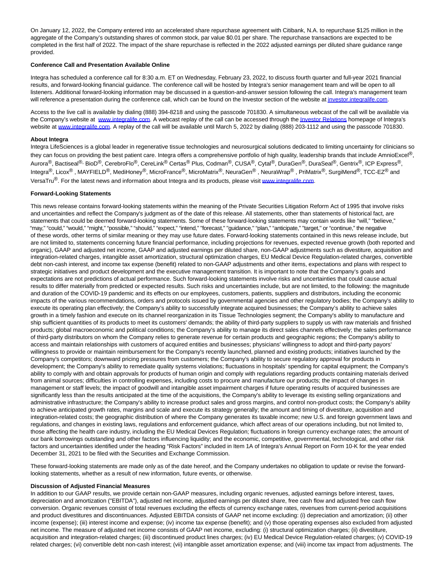On January 12, 2022, the Company entered into an accelerated share repurchase agreement with Citibank, N.A. to repurchase \$125 million in the aggregate of the Company's outstanding shares of common stock, par value \$0.01 per share. The repurchase transactions are expected to be completed in the first half of 2022. The impact of the share repurchase is reflected in the 2022 adjusted earnings per diluted share guidance range provided.

### **Conference Call and Presentation Available Online**

Integra has scheduled a conference call for 8:30 a.m. ET on Wednesday, February 23, 2022, to discuss fourth quarter and full-year 2021 financial results, and forward-looking financial guidance. The conference call will be hosted by Integra's senior management team and will be open to all listeners. Additional forward-looking information may be discussed in a question-and-answer session following the call. Integra's management team will reference a presentation during the conference call, which can be found on the Investor section of the website a[t investor.integralife.com.](https://www.globenewswire.com/Tracker?data=xZFYYix0E_xATyfKwX3MH9ql2Xah4aJKN_GkgLPnYmEaaGV8MsFS8xP1NRPeP914T_79AbP-2soW7g124l4Ntoj1NBoshVsrQb8zC0zW6I0=)

Access to the live call is available by dialing (888) 394-8218 and using the passcode 701830. A simultaneous webcast of the call will be available via the Company's website at [www.integralife.com.](https://www.globenewswire.com/Tracker?data=BWqaXAzaRtrLdkXgy2g0S5DuDFf-gLkOxNl4ucEQ9sVhjeGaPf3Qp1XsjqbRkKCjhNKIGMYcwBMEqtbYIlJG9gjNYnTeIoyfB8WB5q2U3J4=) A webcast replay of the call can be accessed through th[e Investor Relations h](https://www.globenewswire.com/Tracker?data=5uEvu3V_6q1pZl6qkmOFQmPkshNdEPyGPvKZMMcFvHhkXSGJ6OzdCc7xLsGjham8TFb_mwehiPnmUNCHgNDz42nlChgCkFouD4wFtIDS4zs=)omepage of Integra's website at [www.integralife.com.](https://www.globenewswire.com/Tracker?data=BWqaXAzaRtrLdkXgy2g0SwqIJzo2geZ5YLibY1RQDyqTs_oZqKLXw4qkdnzCpMmn7QnQpj79XUQZU_lDPKRFWoR0cemPPgB_T9-tkg8uNCo=) A replay of the call will be available until March 5, 2022 by dialing (888) 203-1112 and using the passcode 701830.

### **About Integra**

Integra LifeSciences is a global leader in regenerative tissue technologies and neurosurgical solutions dedicated to limiting uncertainty for clinicians so they can focus on providing the best patient care. Integra offers a comprehensive portfolio of high quality, leadership brands that include AmnioExcel®, Aurora<sup>®</sup>, Bactiseal<sup>®,</sup> BioD<sup>®</sup>, CerebroFlo<sup>®</sup>, CereLink<sup>®</sup> Certas<sup>®</sup> Plus, Codman<sup>®</sup>, CUSA<sup>®</sup>, Cytal<sup>®</sup>, DuraGen<sup>®</sup>, DuraSeal<sup>®</sup>, Gentrix<sup>®</sup>, ICP Express<sup>®</sup>, Integra®, Licox® , MAYFIELD®, MediHoney®, MicroFrance®, MicroMatrix®, NeuraGen® , NeuraWrap® , PriMatrix®, SurgiMend®, TCC-EZ® and VersaTru<sup>®</sup>. For the latest news and information about Integra and its products, please visit www.integralife.com.

#### **Forward-Looking Statements**

This news release contains forward-looking statements within the meaning of the Private Securities Litigation Reform Act of 1995 that involve risks and uncertainties and reflect the Company's judgment as of the date of this release. All statements, other than statements of historical fact, are statements that could be deemed forward-looking statements. Some of these forward-looking statements may contain words like "will," "believe," "may," "could," "would," "might," "possible," "should," "expect," "intend," "forecast," "guidance," "plan," "anticipate," "target," or "continue," the negative of these words, other terms of similar meaning or they may use future dates. Forward-looking statements contained in this news release include, but are not limited to, statements concerning future financial performance, including projections for revenues, expected revenue growth (both reported and organic), GAAP and adjusted net income, GAAP and adjusted earnings per diluted share, non-GAAP adjustments such as divestiture, acquisition and integration-related charges, intangible asset amortization, structural optimization charges, EU Medical Device Regulation-related charges, convertible debt non-cash interest, and income tax expense (benefit) related to non-GAAP adjustments and other items, expectations and plans with respect to strategic initiatives and product development and the executive management transition. It is important to note that the Company's goals and expectations are not predictions of actual performance. Such forward-looking statements involve risks and uncertainties that could cause actual results to differ materially from predicted or expected results. Such risks and uncertainties include, but are not limited, to the following: the magnitude and duration of the COVID-19 pandemic and its effects on our employees, customers, patients, suppliers and distributors, including the economic impacts of the various recommendations, orders and protocols issued by governmental agencies and other regulatory bodies; the Company's ability to execute its operating plan effectively; the Company's ability to successfully integrate acquired businesses; the Company's ability to achieve sales growth in a timely fashion and execute on its channel reorganization in its Tissue Technologies segment; the Company's ability to manufacture and ship sufficient quantities of its products to meet its customers' demands; the ability of third-party suppliers to supply us with raw materials and finished products; global macroeconomic and political conditions; the Company's ability to manage its direct sales channels effectively; the sales performance of third-party distributors on whom the Company relies to generate revenue for certain products and geographic regions; the Company's ability to access and maintain relationships with customers of acquired entities and businesses; physicians' willingness to adopt and third-party payors' willingness to provide or maintain reimbursement for the Company's recently launched, planned and existing products; initiatives launched by the Company's competitors; downward pricing pressures from customers; the Company's ability to secure regulatory approval for products in development; the Company's ability to remediate quality systems violations; fluctuations in hospitals' spending for capital equipment; the Company's ability to comply with and obtain approvals for products of human origin and comply with regulations regarding products containing materials derived from animal sources; difficulties in controlling expenses, including costs to procure and manufacture our products; the impact of changes in management or staff levels; the impact of goodwill and intangible asset impairment charges if future operating results of acquired businesses are significantly less than the results anticipated at the time of the acquisitions, the Company's ability to leverage its existing selling organizations and administrative infrastructure; the Company's ability to increase product sales and gross margins, and control non-product costs; the Company's ability to achieve anticipated growth rates, margins and scale and execute its strategy generally; the amount and timing of divestiture, acquisition and integration-related costs; the geographic distribution of where the Company generates its taxable income; new U.S. and foreign government laws and regulations, and changes in existing laws, regulations and enforcement guidance, which affect areas of our operations including, but not limited to, those affecting the health care industry, including the EU Medical Devices Regulation; fluctuations in foreign currency exchange rates; the amount of our bank borrowings outstanding and other factors influencing liquidity; and the economic, competitive, governmental, technological, and other risk factors and uncertainties identified under the heading "Risk Factors" included in Item 1A of Integra's Annual Report on Form 10-K for the year ended December 31, 2021 to be filed with the Securities and Exchange Commission.

These forward-looking statements are made only as of the date hereof, and the Company undertakes no obligation to update or revise the forwardlooking statements, whether as a result of new information, future events, or otherwise.

#### **Discussion of Adjusted Financial Measures**

In addition to our GAAP results, we provide certain non-GAAP measures, including organic revenues, adjusted earnings before interest, taxes, depreciation and amortization ("EBITDA"), adjusted net income, adjusted earnings per diluted share, free cash flow and adjusted free cash flow conversion. Organic revenues consist of total revenues excluding the effects of currency exchange rates, revenues from current-period acquisitions and product divestitures and discontinuances. Adjusted EBITDA consists of GAAP net income excluding: (i) depreciation and amortization; (ii) other income (expense); (iii) interest income and expense; (iv) income tax expense (benefit); and (v) those operating expenses also excluded from adjusted net income. The measure of adjusted net income consists of GAAP net income, excluding: (i) structural optimization charges; (ii) divestiture, acquisition and integration-related charges; (iii) discontinued product lines charges; (iv) EU Medical Device Regulation-related charges; (v) COVID-19 related charges; (vi) convertible debt non-cash interest; (vii) intangible asset amortization expense; and (viii) income tax impact from adjustments. The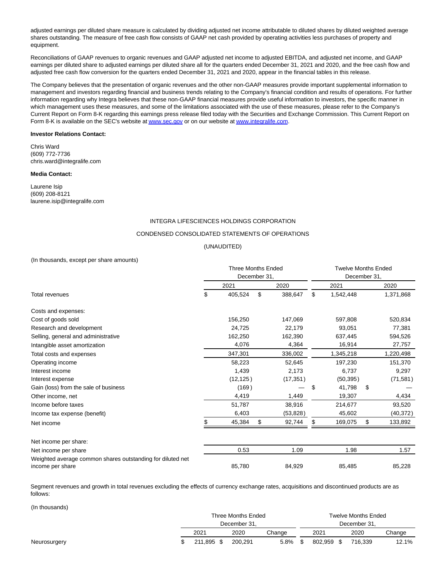adjusted earnings per diluted share measure is calculated by dividing adjusted net income attributable to diluted shares by diluted weighted average shares outstanding. The measure of free cash flow consists of GAAP net cash provided by operating activities less purchases of property and equipment.

Reconciliations of GAAP revenues to organic revenues and GAAP adjusted net income to adjusted EBITDA, and adjusted net income, and GAAP earnings per diluted share to adjusted earnings per diluted share all for the quarters ended December 31, 2021 and 2020, and the free cash flow and adjusted free cash flow conversion for the quarters ended December 31, 2021 and 2020, appear in the financial tables in this release.

The Company believes that the presentation of organic revenues and the other non-GAAP measures provide important supplemental information to management and investors regarding financial and business trends relating to the Company's financial condition and results of operations. For further information regarding why Integra believes that these non-GAAP financial measures provide useful information to investors, the specific manner in which management uses these measures, and some of the limitations associated with the use of these measures, please refer to the Company's Current Report on Form 8-K regarding this earnings press release filed today with the Securities and Exchange Commission. This Current Report on Form 8-K is available on the SEC's website a[t www.sec.gov o](https://www.globenewswire.com/Tracker?data=yXRFl0hfvzohEBafzSnq1HWoJynXq2yT0GYH6zmo-7CkDPFt5M7yfYkEa-PHFbnPrva4J-1EBCc5YIE9HQxTQA==)r on our website at www.integralife.com.

#### **Investor Relations Contact:**

Chris Ward (609) 772-7736 chris.ward@integralife.com

#### **Media Contact:**

Laurene Isip (609) 208-8121 laurene.isip@integralife.com

### INTEGRA LIFESCIENCES HOLDINGS CORPORATION

#### CONDENSED CONSOLIDATED STATEMENTS OF OPERATIONS

### (UNAUDITED)

#### (In thousands, except per share amounts)

|                                                                                | <b>Three Months Ended</b> |              |    |           |              | <b>Twelve Months Ended</b> |    |           |  |  |
|--------------------------------------------------------------------------------|---------------------------|--------------|----|-----------|--------------|----------------------------|----|-----------|--|--|
|                                                                                |                           | December 31. |    |           | December 31, |                            |    |           |  |  |
|                                                                                |                           | 2021         |    | 2020      |              | 2021                       |    | 2020      |  |  |
| <b>Total revenues</b>                                                          | \$                        | 405,524      | \$ | 388,647   | \$           | 1,542,448                  |    | 1,371,868 |  |  |
| Costs and expenses:                                                            |                           |              |    |           |              |                            |    |           |  |  |
| Cost of goods sold                                                             |                           | 156,250      |    | 147,069   |              | 597,808                    |    | 520,834   |  |  |
| Research and development                                                       |                           | 24,725       |    | 22,179    |              | 93,051                     |    | 77,381    |  |  |
| Selling, general and administrative                                            |                           | 162,250      |    | 162,390   |              | 637,445                    |    | 594,526   |  |  |
| Intangible asset amortization                                                  |                           | 4,076        |    | 4,364     |              | 16,914                     |    | 27,757    |  |  |
| Total costs and expenses                                                       |                           | 347,301      |    | 336,002   |              | 1,345,218                  |    | 1,220,498 |  |  |
| Operating income                                                               |                           | 58,223       |    | 52,645    |              | 197,230                    |    | 151,370   |  |  |
| Interest income                                                                |                           | 1,439        |    | 2,173     |              | 6,737                      |    | 9,297     |  |  |
| Interest expense                                                               |                           | (12, 125)    |    | (17, 351) |              | (50, 395)                  |    | (71, 581) |  |  |
| Gain (loss) from the sale of business                                          |                           | (169)        |    |           | \$           | 41,798                     | \$ |           |  |  |
| Other income, net                                                              |                           | 4,419        |    | 1,449     |              | 19,307                     |    | 4,434     |  |  |
| Income before taxes                                                            |                           | 51,787       |    | 38,916    |              | 214,677                    |    | 93,520    |  |  |
| Income tax expense (benefit)                                                   |                           | 6,403        |    | (53, 828) |              | 45,602                     |    | (40, 372) |  |  |
| Net income                                                                     | \$                        | 45,384       | \$ | 92,744    | SS.          | 169,075                    | \$ | 133,892   |  |  |
| Net income per share:                                                          |                           |              |    |           |              |                            |    |           |  |  |
| Net income per share                                                           |                           | 0.53         |    | 1.09      |              | 1.98                       |    | 1.57      |  |  |
| Weighted average common shares outstanding for diluted net<br>income per share |                           | 85,780       |    | 84,929    |              | 85,485                     |    | 85,228    |  |  |

Segment revenues and growth in total revenues excluding the effects of currency exchange rates, acquisitions and discontinued products are as follows:

(In thousands)

|              | Three Months Ended |         |        |  | <b>Twelve Months Ended</b> |  |         |        |  |  |
|--------------|--------------------|---------|--------|--|----------------------------|--|---------|--------|--|--|
|              | December 31.       |         |        |  | December 31.               |  |         |        |  |  |
|              | 2021               | 2020    | Change |  | 2021                       |  | 2020    | Change |  |  |
| Neurosurgery | 211.895            | 200.291 | 5.8%   |  | 802.959                    |  | 716.339 | 12.1%  |  |  |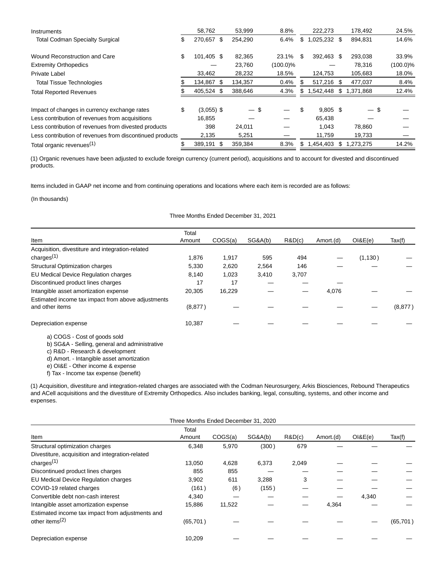| Instruments                                              |    | 58,762        | 53,999  | 8.8%        |     | 222.273      |     | 178,492   | 24.5%       |
|----------------------------------------------------------|----|---------------|---------|-------------|-----|--------------|-----|-----------|-------------|
| <b>Total Codman Specialty Surgical</b>                   | S  | 270,657<br>\$ | 254,290 | 6.4%        | \$  | $025,232$ \$ |     | 894,831   | 14.6%       |
| Wound Reconstruction and Care                            | \$ | 101,405 \$    | 82,365  | 23.1%       | \$. | 392.463      | -\$ | 293,038   | 33.9%       |
| <b>Extremity Orthopedics</b>                             |    |               | 23,760  | $(100.0)\%$ |     |              |     | 78.316    | $(100.0)\%$ |
| Private Label                                            |    | 33,462        | 28,232  | 18.5%       |     | 124,753      |     | 105,683   | 18.0%       |
| <b>Total Tissue Technologies</b>                         |    | 134.867<br>S  | 134,357 | 0.4%        | S   | 517.216      | \$. | 477,037   | 8.4%        |
| <b>Total Reported Revenues</b>                           |    | 405,524 \$    | 388,646 | 4.3%        |     | .542,448     | S.  | 1,371,868 | 12.4%       |
| Impact of changes in currency exchange rates             | \$ | $(3.055)$ \$  | $-$ \$  |             | S   | $9,805$ \$   |     | $-$ \$    |             |
| Less contribution of revenues from acquisitions          |    | 16.855        |         |             |     | 65.438       |     |           |             |
| Less contribution of revenues from divested products     |    | 398           | 24,011  |             |     | 1.043        |     | 78,860    |             |
| Less contribution of revenues from discontinued products |    | 2,135         | 5,251   |             |     | 11,759       |     | 19,733    |             |
| Total organic revenues <sup>(1)</sup>                    |    | 389.191<br>\$ | 359.384 | 8.3%        | S   | ,454,403     | \$. | .273.275  | 14.2%       |

(1) Organic revenues have been adjusted to exclude foreign currency (current period), acquisitions and to account for divested and discontinued products.

Items included in GAAP net income and from continuing operations and locations where each item is recorded are as follows:

(In thousands)

## Three Months Ended December 31, 2021

|                                                    | Total    |         |         |        |           |                |         |
|----------------------------------------------------|----------|---------|---------|--------|-----------|----------------|---------|
| Item                                               | Amount   | COGS(a) | SG&A(b) | R&D(c) | Amort.(d) | $O l$ &E $(e)$ | Tax(f)  |
| Acquisition, divestiture and integration-related   |          |         |         |        |           |                |         |
| charges $(1)$                                      | 1,876    | 1,917   | 595     | 494    |           | (1, 130)       |         |
| <b>Structural Optimization charges</b>             | 5,330    | 2,620   | 2,564   | 146    |           |                |         |
| EU Medical Device Regulation charges               | 8,140    | 1,023   | 3,410   | 3,707  |           |                |         |
| Discontinued product lines charges                 | 17       | 17      |         |        |           |                |         |
| Intangible asset amortization expense              | 20,305   | 16,229  |         |        | 4,076     |                |         |
| Estimated income tax impact from above adjustments |          |         |         |        |           |                |         |
| and other items                                    | (8, 877) |         |         |        |           |                | (8,877) |
| Depreciation expense                               | 10,387   |         |         |        |           |                |         |
| a) COGS - Cost of goods sold                       |          |         |         |        |           |                |         |
| b) SG&A - Selling, general and administrative      |          |         |         |        |           |                |         |
| c) R&D - Research & development                    |          |         |         |        |           |                |         |
| d) Amort. - Intangible asset amortization          |          |         |         |        |           |                |         |

e) OI&E - Other income & expense

f) Tax - Income tax expense (benefit)

(1) Acquisition, divestiture and integration-related charges are associated with the Codman Neurosurgery, Arkis Biosciences, Rebound Therapeutics and ACell acquisitions and the divestiture of Extremity Orthopedics. Also includes banking, legal, consulting, systems, and other income and expenses.

|                                                                                             | Three Months Ended December 31, 2020 |         |         |        |           |         |                 |  |  |  |  |
|---------------------------------------------------------------------------------------------|--------------------------------------|---------|---------|--------|-----------|---------|-----------------|--|--|--|--|
| Item                                                                                        | Total<br>Amount                      | COGS(a) | SG&A(b) | R&D(c) | Amort.(d) | Ol&E(e) | $\text{Tax}(f)$ |  |  |  |  |
| Structural optimization charges                                                             | 6,348                                | 5,970   | (300)   | 679    |           |         |                 |  |  |  |  |
| Divestiture, acquisition and integration-related                                            |                                      |         |         |        |           |         |                 |  |  |  |  |
| charges $(1)$                                                                               | 13,050                               | 4,628   | 6,373   | 2,049  |           |         |                 |  |  |  |  |
| Discontinued product lines charges                                                          | 855                                  | 855     |         |        |           |         |                 |  |  |  |  |
| EU Medical Device Regulation charges                                                        | 3,902                                | 611     | 3,288   | 3      |           |         |                 |  |  |  |  |
| COVID-19 related charges                                                                    | (161)                                | (6)     | (155)   |        |           |         |                 |  |  |  |  |
| Convertible debt non-cash interest                                                          | 4,340                                |         |         |        |           | 4,340   |                 |  |  |  |  |
| Intangible asset amortization expense                                                       | 15,886                               | 11,522  |         |        | 4,364     |         |                 |  |  |  |  |
| Estimated income tax impact from adjustments and<br>other items <sup><math>(2)</math></sup> | (65, 701)                            |         |         |        |           |         | (65, 701)       |  |  |  |  |
| Depreciation expense                                                                        | 10,209                               |         |         |        |           |         |                 |  |  |  |  |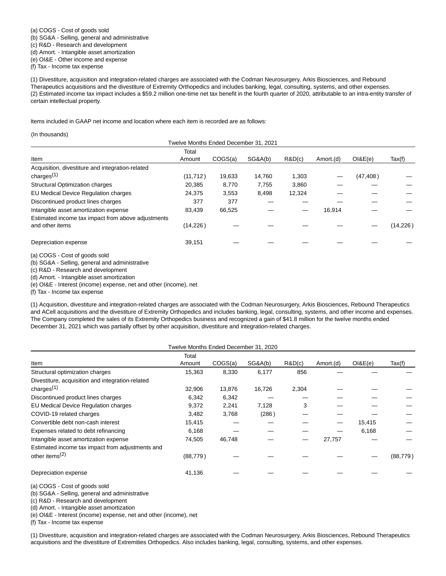(a) COGS - Cost of goods sold

(b) SG&A - Selling, general and administrative

(c) R&D - Research and development

(d) Amort. - Intangible asset amortization

(e) OI&E - Other income and expense

(f) Tax - Income tax expense

(1) Divestiture, acquisition and integration-related charges are associated with the Codman Neurosurgery, Arkis Biosciences, and Rebound Therapeutics acquisitions and the divestiture of Extremity Orthopedics and includes banking, legal, consulting, systems, and other expenses. (2) Estimated income tax impact includes a \$59.2 million one-time net tax benefit in the fourth quarter of 2020, attributable to an intra-entity transfer of certain intellectual property.

Items included in GAAP net income and location where each item is recorded are as follows:

### (In thousands)

|                                                                       |           |         | Twelve Months Ended December 31, 2021 |        |           |                |          |
|-----------------------------------------------------------------------|-----------|---------|---------------------------------------|--------|-----------|----------------|----------|
|                                                                       | Total     |         |                                       |        |           |                |          |
| Item                                                                  | Amount    | COGS(a) | SG&A(b)                               | R&D(c) | Amort.(d) | $O l$ &E $(e)$ | Tax(f)   |
| Acquisition, divestiture and integration-related                      |           |         |                                       |        |           |                |          |
| charges $(1)$                                                         | (11, 712) | 19,633  | 14,760                                | 1,303  |           | (47, 408)      |          |
| <b>Structural Optimization charges</b>                                | 20,385    | 8,770   | 7,755                                 | 3,860  |           |                |          |
| EU Medical Device Regulation charges                                  | 24.375    | 3,553   | 8,498                                 | 12,324 |           |                |          |
| Discontinued product lines charges                                    | 377       | 377     |                                       |        |           |                |          |
| Intangible asset amortization expense                                 | 83.439    | 66,525  |                                       |        | 16.914    |                |          |
| Estimated income tax impact from above adjustments<br>and other items | (14,226)  |         |                                       |        |           |                | (14,226) |
| Depreciation expense                                                  | 39.151    |         |                                       |        |           |                |          |

(a) COGS - Cost of goods sold

(b) SG&A - Selling, general and administrative

(c) R&D - Research and development

(d) Amort. - Intangible asset amortization

(e) OI&E - Interest (income) expense, net and other (income), net

(f) Tax - Income tax expense

(1) Acquisition, divestiture and integration-related charges are associated with the Codman Neurosurgery, Arkis Biosciences, Rebound Therapeutics and ACell acquisitions and the divestiture of Extremity Orthopedics and includes banking, legal, consulting, systems, and other income and expenses. The Company completed the sales of its Extremity Orthopedics business and recognized a gain of \$41.8 million for the twelve months ended December 31, 2021 which was partially offset by other acquisition, divestiture and integration-related charges.

## Twelve Months Ended December 31, 2020

|                                                                                             | Total     |         |         |        |           |         |           |
|---------------------------------------------------------------------------------------------|-----------|---------|---------|--------|-----------|---------|-----------|
| Item                                                                                        | Amount    | COGS(a) | SG&A(b) | R&D(c) | Amort.(d) | O(BE(e) | Tax(f)    |
| Structural optimization charges                                                             | 15,363    | 8,330   | 6,177   | 856    |           |         |           |
| Divestiture, acquisition and integration-related                                            |           |         |         |        |           |         |           |
| charges <sup>(1)</sup>                                                                      | 32,906    | 13,876  | 16,726  | 2,304  |           |         |           |
| Discontinued product lines charges                                                          | 6,342     | 6,342   |         |        |           |         |           |
| EU Medical Device Regulation charges                                                        | 9,372     | 2,241   | 7,128   | 3      |           |         |           |
| COVID-19 related charges                                                                    | 3,482     | 3,768   | (286)   |        |           |         |           |
| Convertible debt non-cash interest                                                          | 15,415    |         |         |        |           | 15,415  |           |
| Expenses related to debt refinancing                                                        | 6,168     |         |         |        |           | 6,168   |           |
| Intangible asset amortization expense                                                       | 74,505    | 46,748  |         |        | 27,757    |         |           |
| Estimated income tax impact from adjustments and<br>other items <sup><math>(2)</math></sup> | (88, 779) |         |         |        |           |         | (88, 779) |
| Depreciation expense                                                                        | 41,136    |         |         |        |           |         |           |

(a) COGS - Cost of goods sold

(b) SG&A - Selling, general and administrative

(c) R&D - Research and development

(d) Amort. - Intangible asset amortization

(e) OI&E - Interest (income) expense, net and other (income), net

(f) Tax - Income tax expense

(1) Divestiture, acquisition and integration-related charges are associated with the Codman Neurosurgery, Arkis Biosciences, Rebound Therapeutics acquisitions and the divestiture of Extremities Orthopedics. Also includes banking, legal, consulting, systems, and other expenses.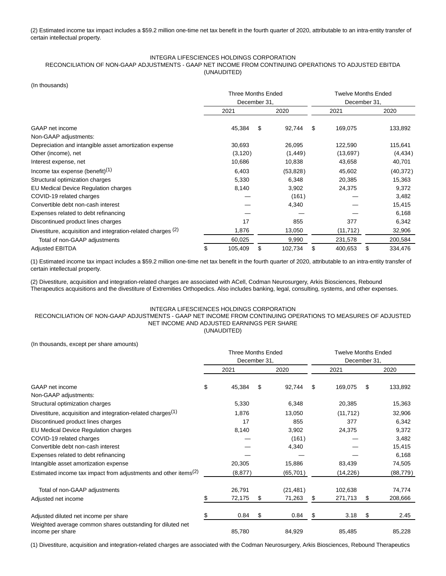(2) Estimated income tax impact includes a \$59.2 million one-time net tax benefit in the fourth quarter of 2020, attributable to an intra-entity transfer of certain intellectual property.

## INTEGRA LIFESCIENCES HOLDINGS CORPORATION

## RECONCILIATION OF NON-GAAP ADJUSTMENTS - GAAP NET INCOME FROM CONTINUING OPERATIONS TO ADJUSTED EBITDA (UNAUDITED)

## (In thousands)

|                                                              | <b>Three Months Ended</b><br>December 31, |    |           | <b>Twelve Months Ended</b><br>December 31, |           |    |           |
|--------------------------------------------------------------|-------------------------------------------|----|-----------|--------------------------------------------|-----------|----|-----------|
|                                                              | 2021                                      |    | 2020      |                                            | 2021      |    | 2020      |
| GAAP net income                                              | 45,384                                    | \$ | 92,744    | \$                                         | 169,075   |    | 133,892   |
| Non-GAAP adjustments:                                        |                                           |    |           |                                            |           |    |           |
| Depreciation and intangible asset amortization expense       | 30,693                                    |    | 26,095    |                                            | 122,590   |    | 115,641   |
| Other (income), net                                          | (3, 120)                                  |    | (1, 449)  |                                            | (13,697)  |    | (4, 434)  |
| Interest expense, net                                        | 10,686                                    |    | 10,838    |                                            | 43,658    |    | 40,701    |
| Income tax expense (benefit) <sup>(1)</sup>                  | 6,403                                     |    | (53, 828) |                                            | 45,602    |    | (40, 372) |
| Structural optimization charges                              | 5,330                                     |    | 6,348     |                                            | 20,385    |    | 15,363    |
| EU Medical Device Regulation charges                         | 8,140                                     |    | 3,902     |                                            | 24,375    |    | 9,372     |
| COVID-19 related charges                                     |                                           |    | (161)     |                                            |           |    | 3,482     |
| Convertible debt non-cash interest                           |                                           |    | 4,340     |                                            |           |    | 15,415    |
| Expenses related to debt refinancing                         |                                           |    |           |                                            |           |    | 6,168     |
| Discontinued product lines charges                           | 17                                        |    | 855       |                                            | 377       |    | 6,342     |
| Divestiture, acquisition and integration-related charges (2) | 1,876                                     |    | 13,050    |                                            | (11, 712) |    | 32,906    |
| Total of non-GAAP adjustments                                | 60,025                                    |    | 9,990     |                                            | 231,578   |    | 200,584   |
| <b>Adjusted EBITDA</b>                                       | \$<br>105,409                             | \$ | 102,734   | \$                                         | 400,653   | \$ | 334,476   |

(1) Estimated income tax impact includes a \$59.2 million one-time net tax benefit in the fourth quarter of 2020, attributable to an intra-entity transfer of certain intellectual property.

(2) Divestiture, acquisition and integration-related charges are associated with ACell, Codman Neurosurgery, Arkis Biosciences, Rebound Therapeutics acquisitions and the divestiture of Extremities Orthopedics. Also includes banking, legal, consulting, systems, and other expenses.

## INTEGRA LIFESCIENCES HOLDINGS CORPORATION

# RECONCILIATION OF NON-GAAP ADJUSTMENTS - GAAP NET INCOME FROM CONTINUING OPERATIONS TO MEASURES OF ADJUSTED NET INCOME AND ADJUSTED EARNINGS PER SHARE

(UNAUDITED)

## (In thousands, except per share amounts)

|                                                                                |     | <b>Three Months Ended</b> |    |           | <b>Twelve Months Ended</b> |           |    |           |  |
|--------------------------------------------------------------------------------|-----|---------------------------|----|-----------|----------------------------|-----------|----|-----------|--|
|                                                                                |     | December 31,              |    |           | December 31.               |           |    |           |  |
|                                                                                |     | 2021                      |    | 2020      |                            | 2021      |    | 2020      |  |
| GAAP net income                                                                | \$  | 45,384                    | \$ | 92,744    | \$.                        | 169,075   | S  | 133,892   |  |
| Non-GAAP adjustments:                                                          |     |                           |    |           |                            |           |    |           |  |
| Structural optimization charges                                                |     | 5,330                     |    | 6,348     |                            | 20,385    |    | 15,363    |  |
| Divestiture, acquisition and integration-related charges <sup>(1)</sup>        |     | 1,876                     |    | 13,050    |                            | (11, 712) |    | 32,906    |  |
| Discontinued product lines charges                                             |     | 17                        |    | 855       |                            | 377       |    | 6,342     |  |
| EU Medical Device Regulation charges                                           |     | 8,140                     |    | 3,902     |                            | 24,375    |    | 9,372     |  |
| COVID-19 related charges                                                       |     |                           |    | (161)     |                            |           |    | 3,482     |  |
| Convertible debt non-cash interest                                             |     |                           |    | 4,340     |                            |           |    | 15,415    |  |
| Expenses related to debt refinancing                                           |     |                           |    |           |                            |           |    | 6,168     |  |
| Intangible asset amortization expense                                          |     | 20,305                    |    | 15,886    |                            | 83,439    |    | 74,505    |  |
| Estimated income tax impact from adjustments and other items <sup>(2)</sup>    |     | (8, 877)                  |    | (65, 701) |                            | (14,226)  |    | (88, 779) |  |
| Total of non-GAAP adjustments                                                  |     | 26,791                    |    | (21, 481) |                            | 102,638   |    | 74,774    |  |
| Adjusted net income                                                            | \$. | 72,175                    | \$ | 71,263    | S.                         | 271,713   | \$ | 208,666   |  |
| Adjusted diluted net income per share                                          | \$. | 0.84                      | \$ | 0.84      | S                          | 3.18      | \$ | 2.45      |  |
| Weighted average common shares outstanding for diluted net<br>income per share |     | 85,780                    |    | 84,929    |                            | 85,485    |    | 85,228    |  |

(1) Divestiture, acquisition and integration-related charges are associated with the Codman Neurosurgery, Arkis Biosciences, Rebound Therapeutics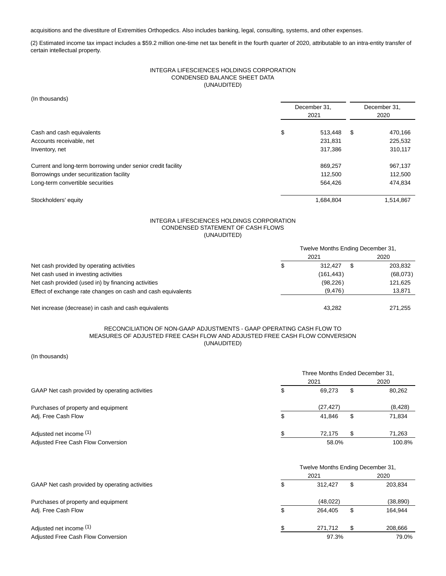acquisitions and the divestiture of Extremities Orthopedics. Also includes banking, legal, consulting, systems, and other expenses.

(2) Estimated income tax impact includes a \$59.2 million one-time net tax benefit in the fourth quarter of 2020, attributable to an intra-entity transfer of certain intellectual property.

### INTEGRA LIFESCIENCES HOLDINGS CORPORATION CONDENSED BALANCE SHEET DATA (UNAUDITED)

(In thousands)

|                                                              | December 31. | December 31,<br>2020 |    |           |
|--------------------------------------------------------------|--------------|----------------------|----|-----------|
| Cash and cash equivalents                                    | \$           | 513.448              | \$ | 470,166   |
| Accounts receivable, net                                     |              | 231,831              |    | 225,532   |
| Inventory, net                                               |              | 317,386              |    | 310,117   |
| Current and long-term borrowing under senior credit facility |              | 869,257              |    | 967,137   |
| Borrowings under securitization facility                     |              | 112,500              |    | 112,500   |
| Long-term convertible securities                             |              | 564,426              |    | 474,834   |
| Stockholders' equity                                         |              | 1.684.804            |    | 1,514,867 |

## INTEGRA LIFESCIENCES HOLDINGS CORPORATION CONDENSED STATEMENT OF CASH FLOWS (UNAUDITED)

|                                                              | Twelve Months Ending December 31, |          |
|--------------------------------------------------------------|-----------------------------------|----------|
|                                                              | 2021                              | 2020     |
| Net cash provided by operating activities                    | 312.427                           | 203,832  |
| Net cash used in investing activities                        | (161, 443)                        | (68,073) |
| Net cash provided (used in) by financing activities          | (98, 226)                         | 121,625  |
| Effect of exchange rate changes on cash and cash equivalents | (9, 476)                          | 13,871   |
|                                                              |                                   |          |
| Net increase (decrease) in cash and cash equivalents         | 43.282                            | 271,255  |

## RECONCILIATION OF NON-GAAP ADJUSTMENTS - GAAP OPERATING CASH FLOW TO MEASURES OF ADJUSTED FREE CASH FLOW AND ADJUSTED FREE CASH FLOW CONVERSION (UNAUDITED)

(In thousands)

|                                                | Three Months Ended December 31, |           |    |          |  |  |  |  |
|------------------------------------------------|---------------------------------|-----------|----|----------|--|--|--|--|
|                                                |                                 | 2021      |    | 2020     |  |  |  |  |
| GAAP Net cash provided by operating activities | c<br>Φ                          | 69,273    | \$ | 80,262   |  |  |  |  |
| Purchases of property and equipment            |                                 | (27, 427) |    | (8, 428) |  |  |  |  |
| Adj. Free Cash Flow                            | c                               | 41.846    | \$ | 71,834   |  |  |  |  |
| Adjusted net income (1)                        |                                 | 72.175    |    | 71,263   |  |  |  |  |
| Adjusted Free Cash Flow Conversion             |                                 | 58.0%     |    | 100.8%   |  |  |  |  |

|                                                | Twelve Months Ending December 31, |           |      |           |
|------------------------------------------------|-----------------------------------|-----------|------|-----------|
|                                                | 2021                              |           | 2020 |           |
| GAAP Net cash provided by operating activities |                                   | 312.427   | \$   | 203,834   |
| Purchases of property and equipment            |                                   | (48, 022) |      | (38, 890) |
| Adj. Free Cash Flow                            |                                   | 264.405   | \$   | 164,944   |
| Adjusted net income (1)                        |                                   | 271.712   |      | 208.666   |
| Adjusted Free Cash Flow Conversion             |                                   | 97.3%     |      | 79.0%     |